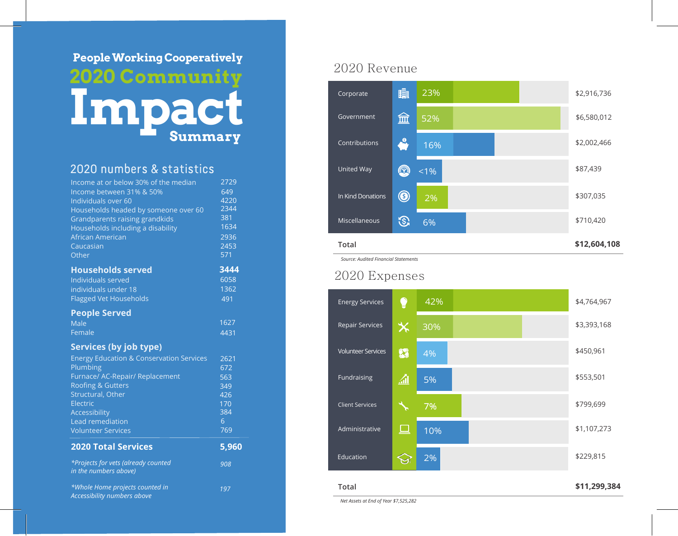# **People Worki ng Cooperatively 20 2 0 Communit y Impact Summary**

#### 20 2 0 numbers & statistics

| Income at or below 30% of the median<br>Income between 31% & 50%<br>Individuals over 60 | 2729<br>$\overline{649}$<br>4220 |
|-----------------------------------------------------------------------------------------|----------------------------------|
| Households headed by someone over 60                                                    | 2344                             |
| Grandparents raising grandkids                                                          | 381                              |
| Households including a disability                                                       | 1634                             |
| African American                                                                        | 2936                             |
| Caucasian                                                                               | 2453                             |
| Other                                                                                   | 571                              |
| <b>Households served</b>                                                                | 3444                             |
| Individuals served                                                                      | 6058                             |
| individuals under 18                                                                    | 1362                             |
| <b>Flagged Vet Households</b>                                                           | 491                              |
| <b>People Served</b>                                                                    |                                  |
| <b>Male</b>                                                                             | 1627                             |
| Female                                                                                  | 4431                             |
| <b>Services (by job type)</b>                                                           |                                  |
| <b>Energy Education &amp; Conservation Services</b>                                     | 2621                             |
| Plumbing                                                                                | 672                              |
| Furnace/ AC-Repair/ Replacement                                                         | 563                              |
| <b>Roofing &amp; Gutters</b>                                                            | 349                              |
| Structural, Other                                                                       | 426                              |
| Electric                                                                                | 170                              |
| Accessibility                                                                           | 384                              |
| Lead remediation                                                                        | 6                                |
| <b>Volunteer Services</b>                                                               | 769                              |
| <b>2020 Total Services</b>                                                              | 5,960                            |
| *Projects for vets (already counted<br>in the numbers above)                            | 908                              |
| *Whole Home projects counted in<br><b>Accessibility numbers above</b>                   | 197                              |

#### 2020 Revenu e



*Source: Audited Financial Statements*

#### 2020 Expense s



**Total** 

**\$11,299,384**

*Net Assets at End of Year \$7,525,282*